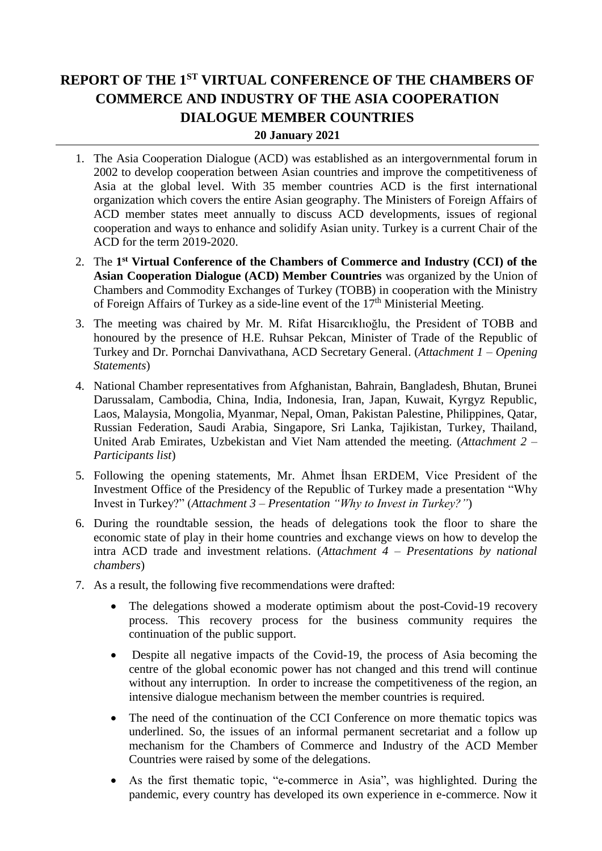## **REPORT OF THE 1ST VIRTUAL CONFERENCE OF THE CHAMBERS OF COMMERCE AND INDUSTRY OF THE ASIA COOPERATION DIALOGUE MEMBER COUNTRIES**

## **20 January 2021**

- 1. The Asia Cooperation Dialogue (ACD) was established as an intergovernmental forum in 2002 to develop cooperation between Asian countries and improve the competitiveness of Asia at the global level. With 35 member countries ACD is the first international organization which covers the entire Asian geography. The Ministers of Foreign Affairs of ACD member states meet annually to discuss ACD developments, issues of regional cooperation and ways to enhance and solidify Asian unity. Turkey is a current Chair of the ACD for the term 2019-2020.
- 2. The **1 st Virtual Conference of the Chambers of Commerce and Industry (CCI) of the Asian Cooperation Dialogue (ACD) Member Countries** was organized by the Union of Chambers and Commodity Exchanges of Turkey (TOBB) in cooperation with the Ministry of Foreign Affairs of Turkey as a side-line event of the  $17<sup>th</sup>$  Ministerial Meeting.
- 3. The meeting was chaired by Mr. M. Rifat Hisarcıklıoğlu, the President of TOBB and honoured by the presence of H.E. Ruhsar Pekcan, Minister of Trade of the Republic of Turkey and Dr. Pornchai Danvivathana, ACD Secretary General. (*Attachment 1 – Opening Statements*)
- 4. National Chamber representatives from Afghanistan, Bahrain, Bangladesh, Bhutan, Brunei Darussalam, Cambodia, China, India, Indonesia, Iran, Japan, Kuwait, Kyrgyz Republic, Laos, Malaysia, Mongolia, Myanmar, Nepal, Oman, Pakistan Palestine, Philippines, Qatar, Russian Federation, Saudi Arabia, Singapore, Sri Lanka, Tajikistan, Turkey, Thailand, United Arab Emirates, Uzbekistan and Viet Nam attended the meeting. (*Attachment 2 – Participants list*)
- 5. Following the opening statements, Mr. Ahmet İhsan ERDEM, Vice President of the Investment Office of the Presidency of the Republic of Turkey made a presentation "Why Invest in Turkey?" (*Attachment 3 – Presentation "Why to Invest in Turkey?"*)
- 6. During the roundtable session, the heads of delegations took the floor to share the economic state of play in their home countries and exchange views on how to develop the intra ACD trade and investment relations. (*Attachment 4 – Presentations by national chambers*)
- 7. As a result, the following five recommendations were drafted:
	- The delegations showed a moderate optimism about the post-Covid-19 recovery process. This recovery process for the business community requires the continuation of the public support.
	- Despite all negative impacts of the Covid-19, the process of Asia becoming the centre of the global economic power has not changed and this trend will continue without any interruption. In order to increase the competitiveness of the region, an intensive dialogue mechanism between the member countries is required.
	- The need of the continuation of the CCI Conference on more thematic topics was underlined. So, the issues of an informal permanent secretariat and a follow up mechanism for the Chambers of Commerce and Industry of the ACD Member Countries were raised by some of the delegations.
	- As the first thematic topic, "e-commerce in Asia", was highlighted. During the pandemic, every country has developed its own experience in e-commerce. Now it